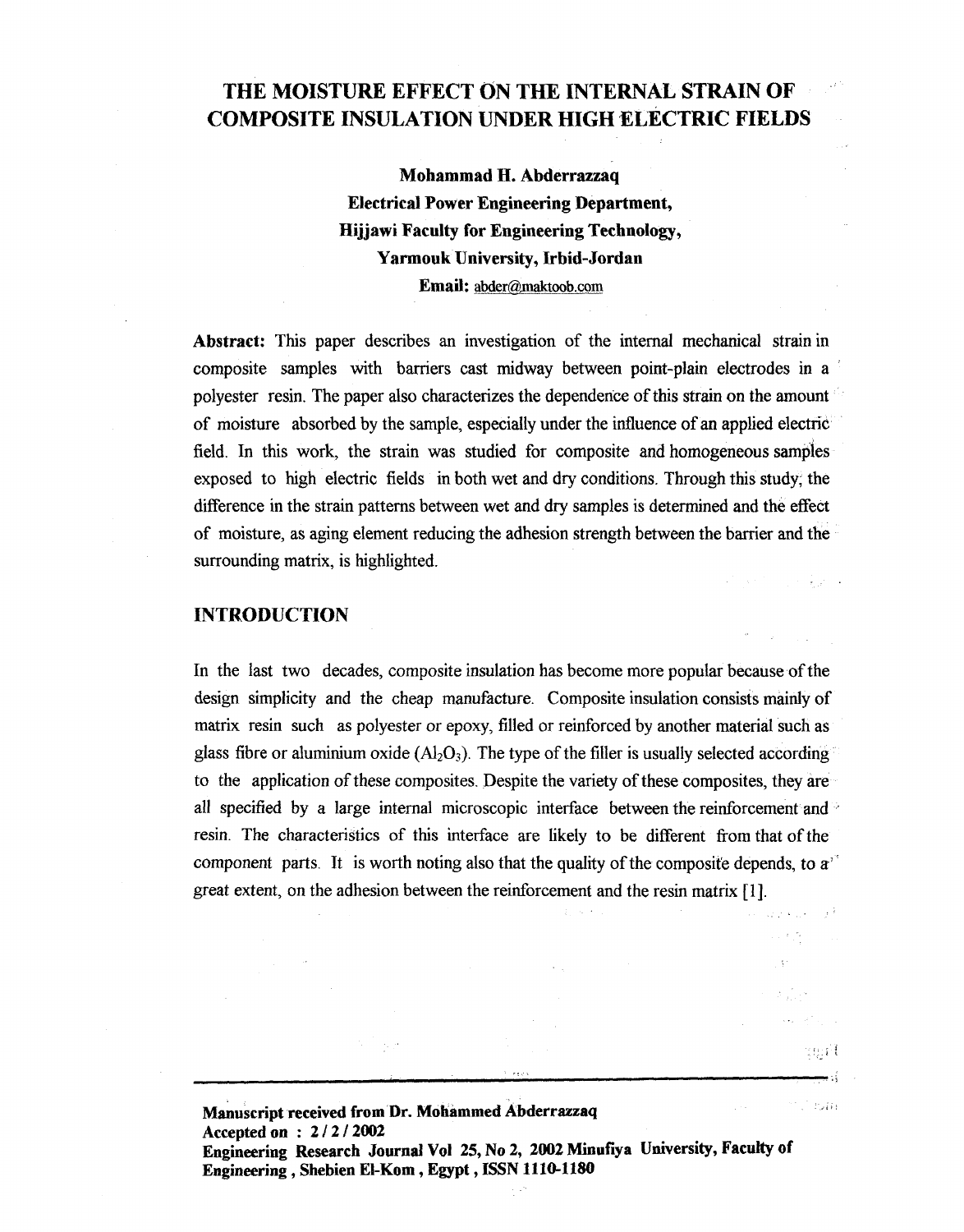# **THE MOISTURE EFFECT ON THE INTERNAL STRAIN OF COMPOSITE INSULATION UNDER HIGH SLECTRIC FIELDS**

**Mohammad H. Abderrazzaq Electrical Power Engineering Department, Hijjawi Faculty for Engineering Technology, Yarmouk University, Irbid-Jordan Email: abder@maktoob.com** 

**Abstract:** This paper describes an investigation of the internal mechanical strain in composite samples with barriers cast midway between point-plain electrodes in a polyester resin. The paper also characterizes the dependence of this strain on the amount of moisture absorbed by the sample, especially under the influence of an applied electric field. In this work, the strain was studied for composite and homogeneous samples exposed to high electric fields in both wet and dry conditions. Through this study, the difference in the strain patterns between wet and dry samples is determined and the effect of moisture, as aging element reducing the adhesion strength between the barrier and the surrounding matrix, is highlighted.

#### **INTRODUCTION**

In the last two decades, composite insulation has become more popular because of the design simplicity and the cheap manufacture. Composite insulation consists mainly of matrix resin such as polyester or epoxy, filled or reinforced by another material such as glass fibre or aluminium oxide  $(A_2O_3)$ . The type of the filler is usually selected according to the application of these composites. Despite the variety of these composites, they are all specified by a large internal microscopic interface between the reinforcement and  $\overline{ }$ resin. The characteristics of this interface are likely to be different from that of the component parts. It is worth noting also that the quality of the composite depends, to  $a<sup>3</sup>$ great extent, on the adhesion between the reinforcement and the resin matrix [I].

, a p

tgili

<sup>27</sup> County

**Manuscript received from Dr. Mohammed Abderrazzaq Accepted on** : **<sup>2</sup>***I* **2** *I* **<sup>2002</sup> Engineering Research Journal Vol 25, No 2, 2002 Minufiya University, Faculty of Engineering, Shebien El-Kom** , **Egypt, ISSN 1110-1180**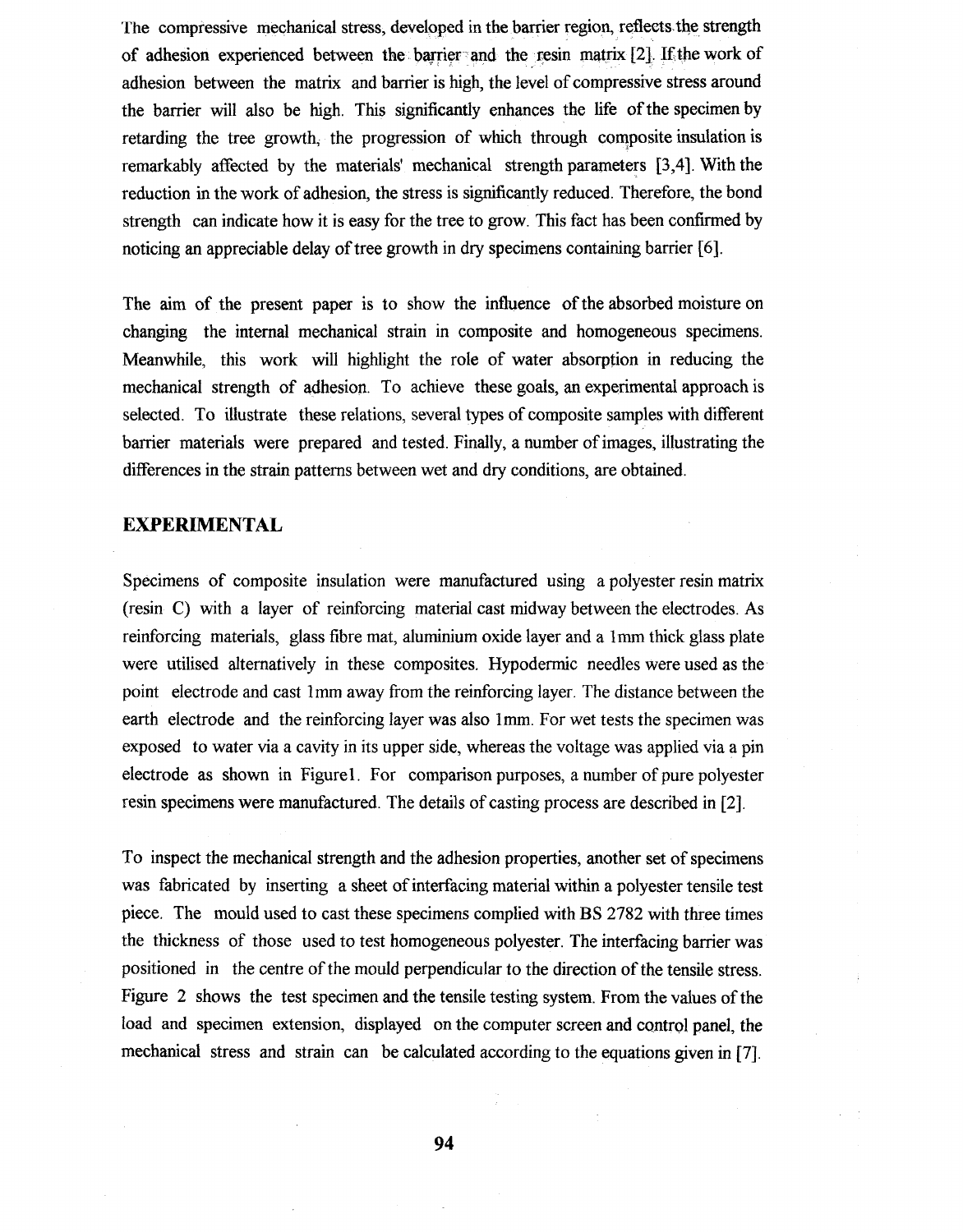The compressive mechanical stress, developed in the barrier region, reflects the strength of adhesion experienced between the barrier and the resin matrix  $[2]$ . If the work of adhesion between the matrix and barrier is high, the level of compressive stress around the barrier will also be high. This significantly enhances the life ofthe specimen by retarding the tree growth, the progression of which through composite insulation is remarkably affected by the materials' mechanical strength parameters **[3,4].** With the reduction in the work of adhesion, the stress is significantly reduced. Therefore, the bond strength can indicate how it is easy for the tree to grow. This fact has been confirmed by noticing an appreciable delay of tree growth in dry specimens containing barrier *[6].* 

The aim of the present paper is to show the influence of the absorbed moisture on changing the internal mechanical strain in composite and homogeneous specimens. Meanwhile, this work will highlight the role of water absorption in reducing the mechanical strength of adhesion. To achieve these goals, an experimental approach is selected. To illustrate these relations, several types of composite samples with different barrier materials were prepared and tested. Finally, a number of images, illustrating the differences in the strain patterns between wet and dry conditions, are obtained.

### **EXPERIMENTAL**

Specimens of composite insulation were manufactured using a polyester resin matrix (resin C) with a layer of reinforcing material cast midway between the electrodes. As reinforcing materials, glass fibre mat, aluminium oxide layer and a lrnm thick glass plate were utilised alternatively in these composites. Hypodermic needles were used as the point electrode and cast lmm away from the reinforcing layer. The distance between the earth electrode and the reinforcing layer was also I **mm.** For wet tests the specimen was exposed to water via a cavity in its upper side, whereas the voltage was applied via a pin electrode as shown in Figure1. For comparison purposes, a number of pure polyester resin specimens were manufactured. The details of casting process are described in [Z].

To inspect the mechanical strength and the adhesion properties, another set of specimens was fabricated by inserting a sheet of interfacing material within a polyester tensile test piece. The mould used to cast these specimens complied with BS 2782 with three times the thickness of those used to test homogeneous polyester. The interfacing barrier was positioned in the centre of the mould perpendicular to the direction of the tensile stress. Figure 2 shows the test specimen and the tensile testing system. From the values of the load and specimen extension, displayed on the computer screen and control panel, the mechanical stress and strain can be calculated according to the equations given in [7].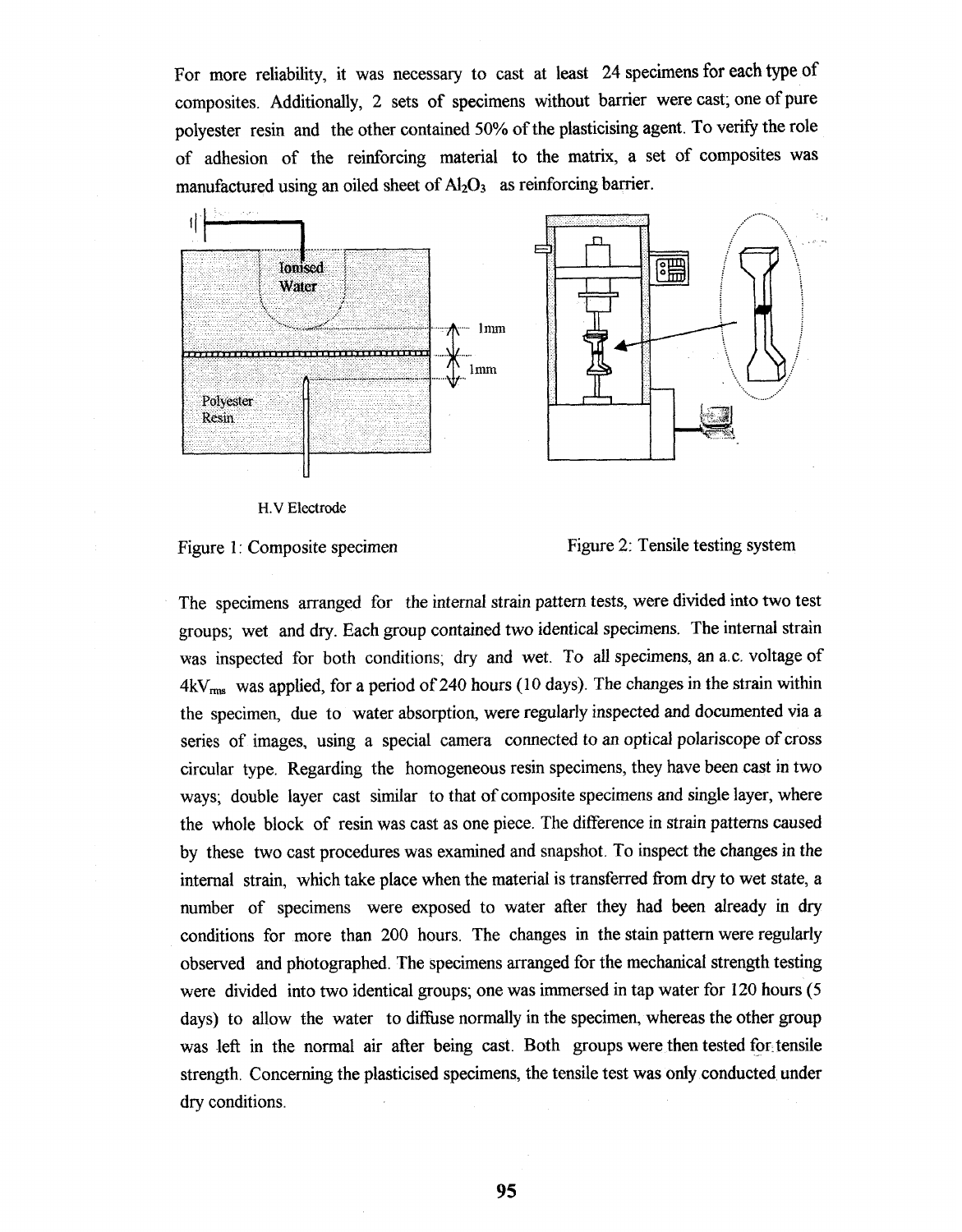For more reliability, it was necessary to cast at least 24 specimens for each type of composites. Additionally, 2 sets of specimens without barrier were cast; one of pure polyester resin and the other contained 50% of the plasticising agent. To verify the role of adhesion of the reinforcing material to the matrix, a set of composites was manufactured using an oiled sheet of  $Al_2O_3$  as reinforcing barrier.



H.V Electrode



Figure 2: Tensile testing system

The specimens arranged for the internal strain pattern tests, were divided into two test groups; wet and dry. Each group contained two identical specimens. The internal strain was inspected for both conditions; dry and wet. To all specimens, an a.c. voltage of 4kV<sub>rms</sub> was applied, for a period of 240 hours (10 days). The changes in the strain within the specimen, due to water absorption, were regularly inspected and documented via a series of images, using a special camera connected to an optical polariscope of cross circular type. Regarding the homogeneous resin specimens, they have been cast in two ways; double layer cast similar to that of composite specimens and single layer, where the whole block of resin was cast as one piece. The difference in strain patterns caused by these two cast procedures was examined and snapshot. To inspect the changes in the internal strain, which take place when the material is transferred from dry to wet state, a number of specimens were exposed to water after they had been already in dry conditions for more than 200 hours. The changes in the stain pattern were regularly observed and photographed. The specimens arranged for the mechanical strength testing were divided into two identical groups; one was immersed in tap water for 120 hours (5 days) to allow the water to diffuse normally in the specimen, whereas the other group was left in the normal air after being cast. Both groups were then tested for tensile strength. Concerning the plasticised specimens, the tensile test was only conducted under dry conditions.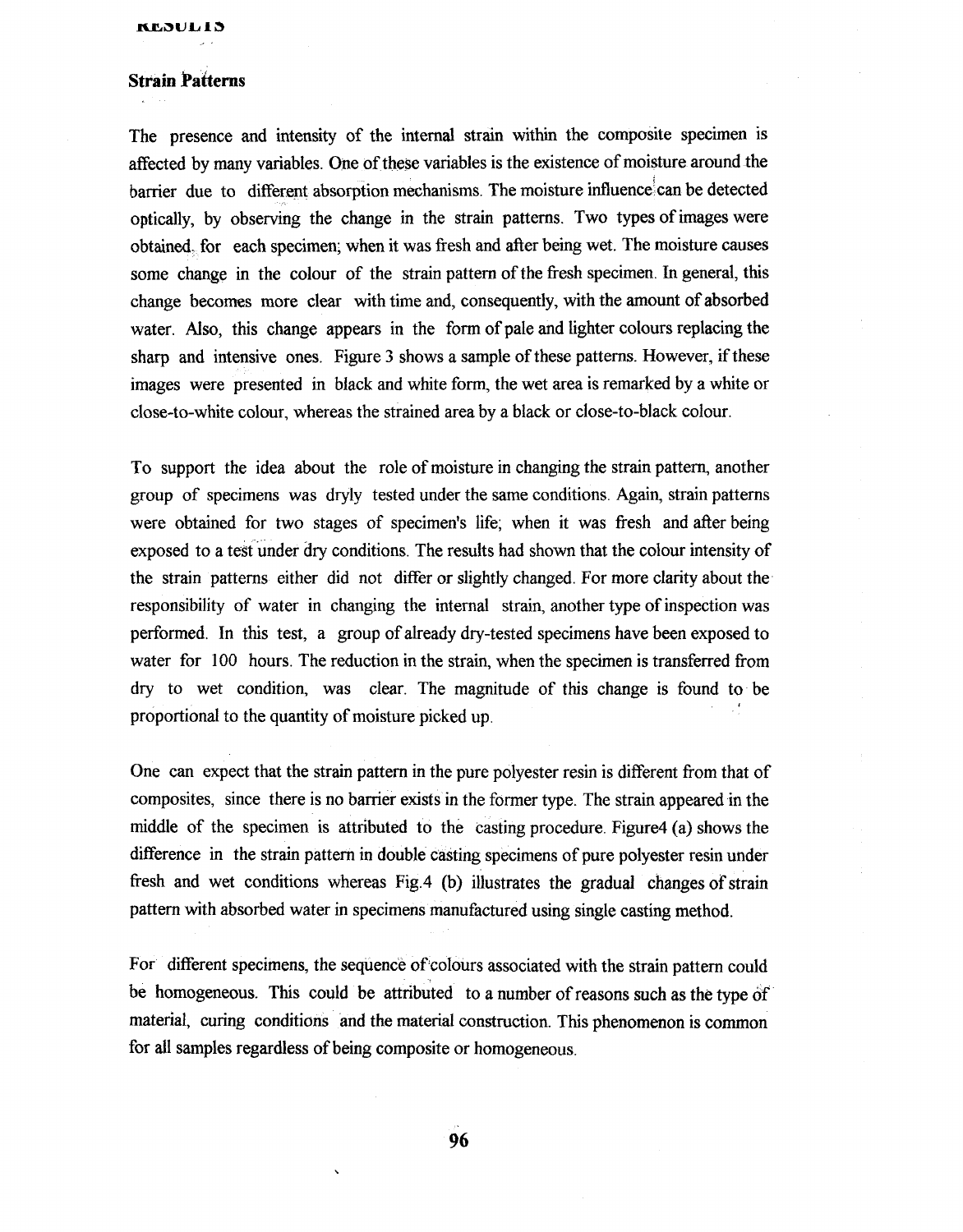# **Strain Patterns**

The presence and intensity of the internal strain within the composite specimen is affected by many variables. One of these variables is the existence of moisture around the barrier due to different absorption mechanisms. The moisture influence'can be detected optically, by observing the change in the strain patterns. Two types of images were obtained. for each specimen; when it was fresh and after being wet. The moisture causes some change in the colour of the strain pattern of the fresh specimen. In general, this change becomes more clear with time and, consequently, with the amount of absorbed water. Also, this change appears in the form of pale and lighter colours replacing the sharp and intensive ones. Figure **3** shows a sample of these patterns. However, if these images were presented in black and white form, the wet area is remarked by a white or close-to-white colour, whereas the strained area by a black or close-to-black colour.

To support the idea about the role of moisture in changing the strain pattern, another group of specimens was dryly tested under the same conditions. Again, strain patterns were obtained for two stages of specimen's life; when it was fresh and after being exposed to a test under dry conditions. The results had shown that the colour intensity of the strain patterns either did not differ or slightly changed. For more clarity about the responsibility of water in changing the internal strain, another type of inspection was performed. In this test, a group of already dry-tested specimens have been exposed to water for 100 hours. The reduction in the strain, when the specimen is transferred from dry to wet condition, was clear. The magnitude of this change is found to be proportional to the quantity of moisture picked up.

One can expect that the strain pattern in the pure polyester resin is different from that of composites, since there is no barrier exists in the former type. The strain appeared in the middle of the specimen is attributed to the casting procedure. Figure4 (a) shows the difference in the strain pattern in double casting specimens of pure polyester resin under fresh and wet conditions whereas Fig.4 (b) illustrates the gradual changes of strain pattern with absorbed water in specimens manufactured using single casting method.

For different specimens, the sequence of colours associated with the strain pattern could be homogeneous. This could be attributed to a number of reasons such as the type of material, curing conditions and the material construction. This phenomenon is common for all samples regardless of being composite or homogeneous.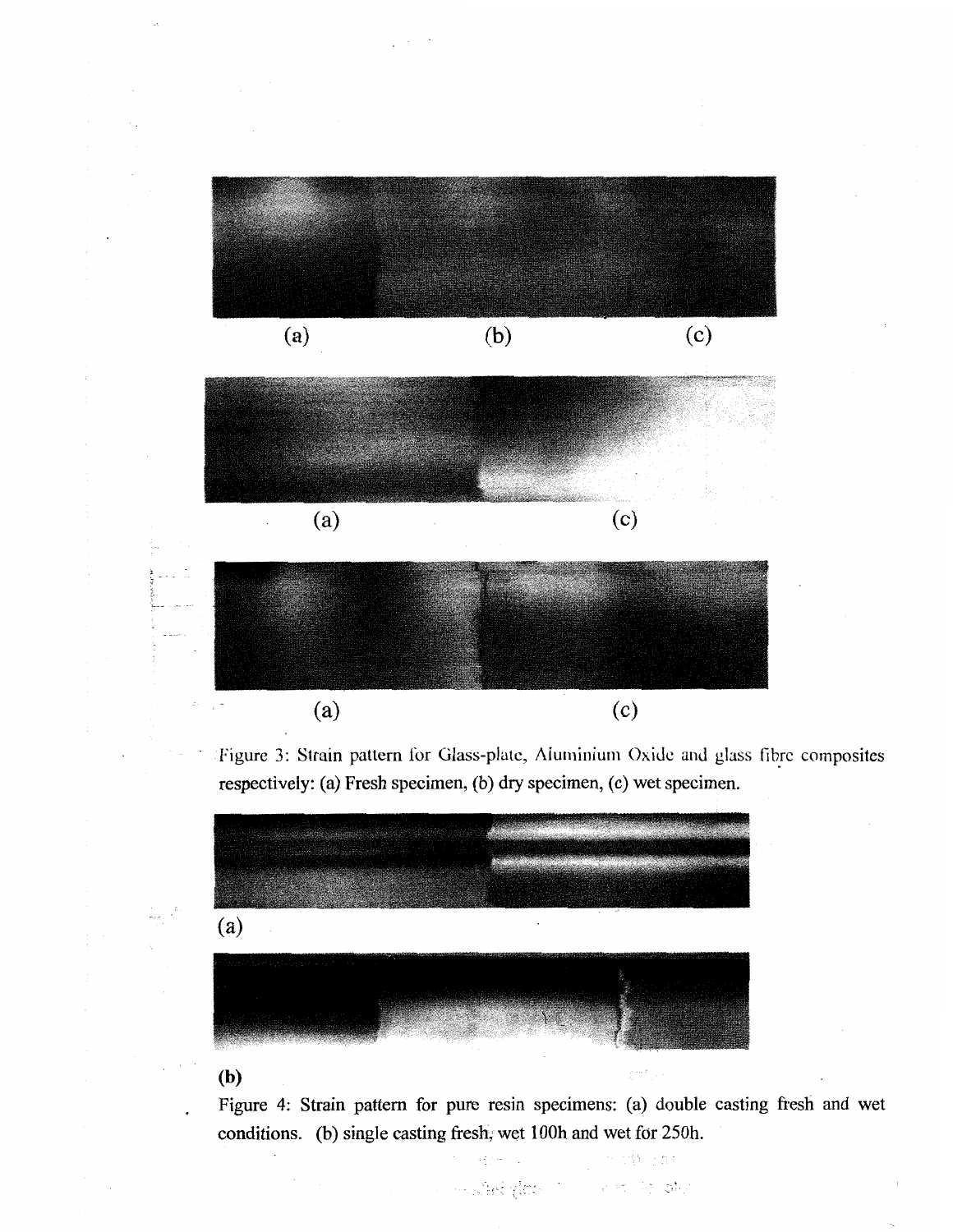

Figure 3: Strain pattern for Glass-plate, Aluminium Oxide and glass fibre composites respectively: (a) Fresh specimen, (b) dry specimen, (c) wet specimen.



# **(b)**

Figure 4: Strain pattern for pure resin specimens: (a) double casting fresh and wet conditions. (b) single casting fresh, wet lOOh and wet for 250h.

in Sakylovich in India She

원 소설리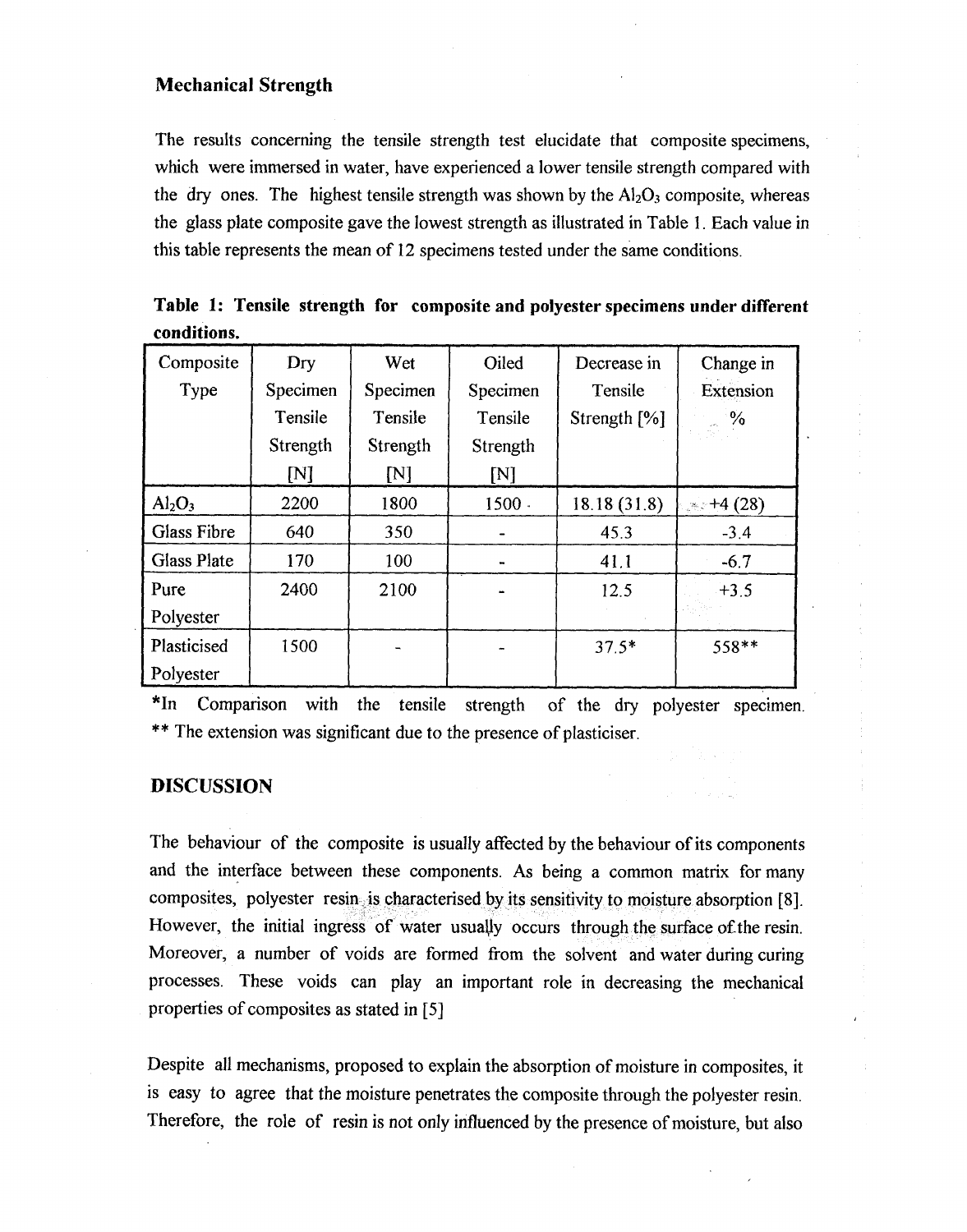# **Mechanical Strength**

The results concerning the tensile strength test elucidate that composite specimens, which were immersed in water, have experienced a lower tensile strength compared with the dry ones. The highest tensile strength was shown by the  $Al_2O_3$  composite, whereas the glass plate composite gave the lowest strength as illustrated in Table 1. Each value in this table represents the mean of 12 specimens tested under the same conditions.

|             |  |  | Table 1: Tensile strength for composite and polyester specimens under different |
|-------------|--|--|---------------------------------------------------------------------------------|
| conditions. |  |  |                                                                                 |

| Composite                      | Dry      | Wet            | Oiled    | Decrease in  | Change in        |
|--------------------------------|----------|----------------|----------|--------------|------------------|
| Type                           | Specimen | Specimen       | Specimen | Tensile      | Extension        |
|                                | Tensile  | Tensile        | Tensile  | Strength [%] | $\sim$ $\%$      |
|                                | Strength | Strength       | Strength |              |                  |
|                                | [N]      | N <sub>1</sub> | M        |              |                  |
| Al <sub>2</sub> O <sub>3</sub> | 2200     | 1800           | $1500 -$ | 18.18 (31.8) | $\approx +4(28)$ |
| <b>Glass Fibre</b>             | 640      | 350            |          | 45.3         | $-3.4$           |
| <b>Glass Plate</b>             | 170      | 100            |          | 41.1         | $-6.7$           |
| Pure                           | 2400     | 2100           |          | 12.5         | $+3.5$           |
| Polyester                      |          |                |          |              |                  |
| Plasticised                    | 1500     |                |          | $37.5*$      | 558**            |
| Polyester                      |          |                |          |              |                  |

\*In Comparison with the tensile strength of the dry polyester specimen. \*\* The extension was significant due to the presence of plasticiser.

# **DISCUSSION**

The behaviour of the composite is usually affected by the behaviour of its components and the interface between these components. As being a common matrix for many composites, polyester resinsition haracterised by its sensitivity to moisture absorption [8]. However, the initial ingress of water usually occurs through the surface of the resin. Moreover, a number of voids are formed from the solvent and water during curing processes. These voids can play an important role in decreasing the mechanical properties of composites as stated in [5]

Despite all mechanisms, proposed to explain the absorption of moisture in composites, it is easy to agree that the moisture penetrates the composite through the polyester resin. Therefore, the role of resin is not only influenced by the presence of moisture, but also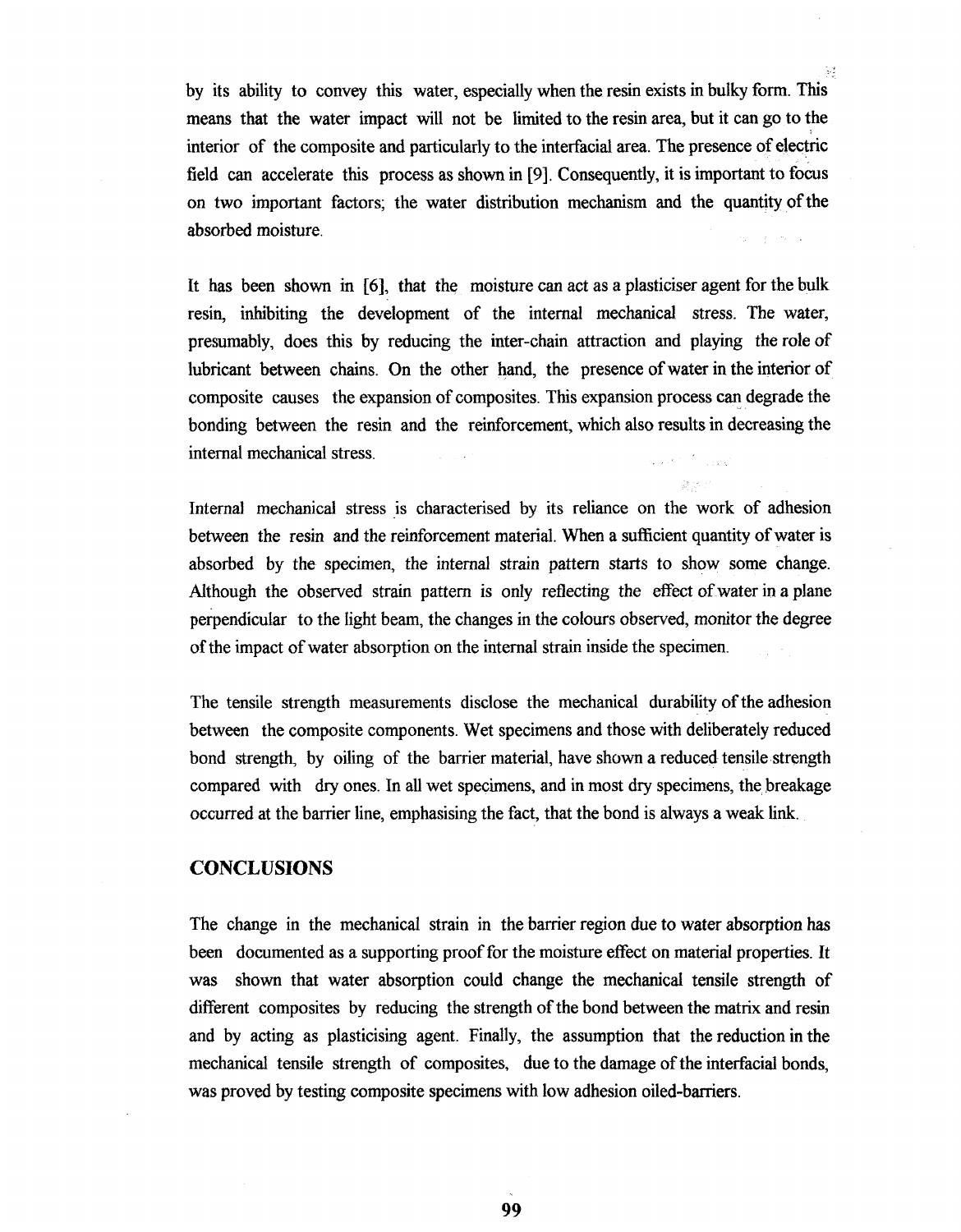by its ability to convey this water, especially when the resin exists in bulky form. This means that the water impact will not be limited to the resin area, but it can go to the interior of the composite and particularly to the interfacial area. The presence of electric field can accelerate this process as shown in **[9].** Consequently, it is important to focus on two important factors; the water distribution mechanism and the quantity of the absorbed moisture.

Ų

It has been shown in **[6],** that the moisture can act as a plasticiser agent for the bulk resin, inhibiting the development of the internal mechanical stress. The water, presumably, does this by reducing the inter-chain attraction and playing the role of lubricant between chains. On the other hand, the presence of water in the interior of composite causes the expansion of composites. This expansion process can degrade the bonding between the resin and the reinforcement, which also results in decreasing the internal mechanical stress. a.<br>Salah seba

Internal mechanical stress is characterised by its reliance on the work of adhesion between the resin and the reinforcement material. When a sufficient quantity of water is absorbed by the specimen, the internal strain pattern starts to show some change. Although the observed strain pattern is only reflecting the effect of water in a plane perpendicular to the light beam, the changes in the colours observed, monitor the degree of the impact of water absorption on the internal strain inside the specimen.

The tensile strength measurements disclose the mechanical durability of the adhesion between the composite components. Wet specimens and those with deliberately reduced bond strength, by oiling of the barrier material, have shown a reduced tensile strength compared with dry ones. In all wet specimens, and in most dry specimens, the breakage occurred at the barrier line, emphasising the fact, that the bond is always a weak link.

# **CONCLUSIONS**

The change in the mechanical strain in the barrier region due to water absorption has been documented as a supporting proof for the moisture effect on material properties. It was shown that water absorption could change the mechanical tensile strength of different composites by reducing the strength of the bond between the matrix and resin and by acting as plasticising agent. Finally, the assumption that the reduction in the mechanical tensile strength of composites, due to the damage of the interfacial bonds, was proved by testing composite specimens with low adhesion oiled-barriers.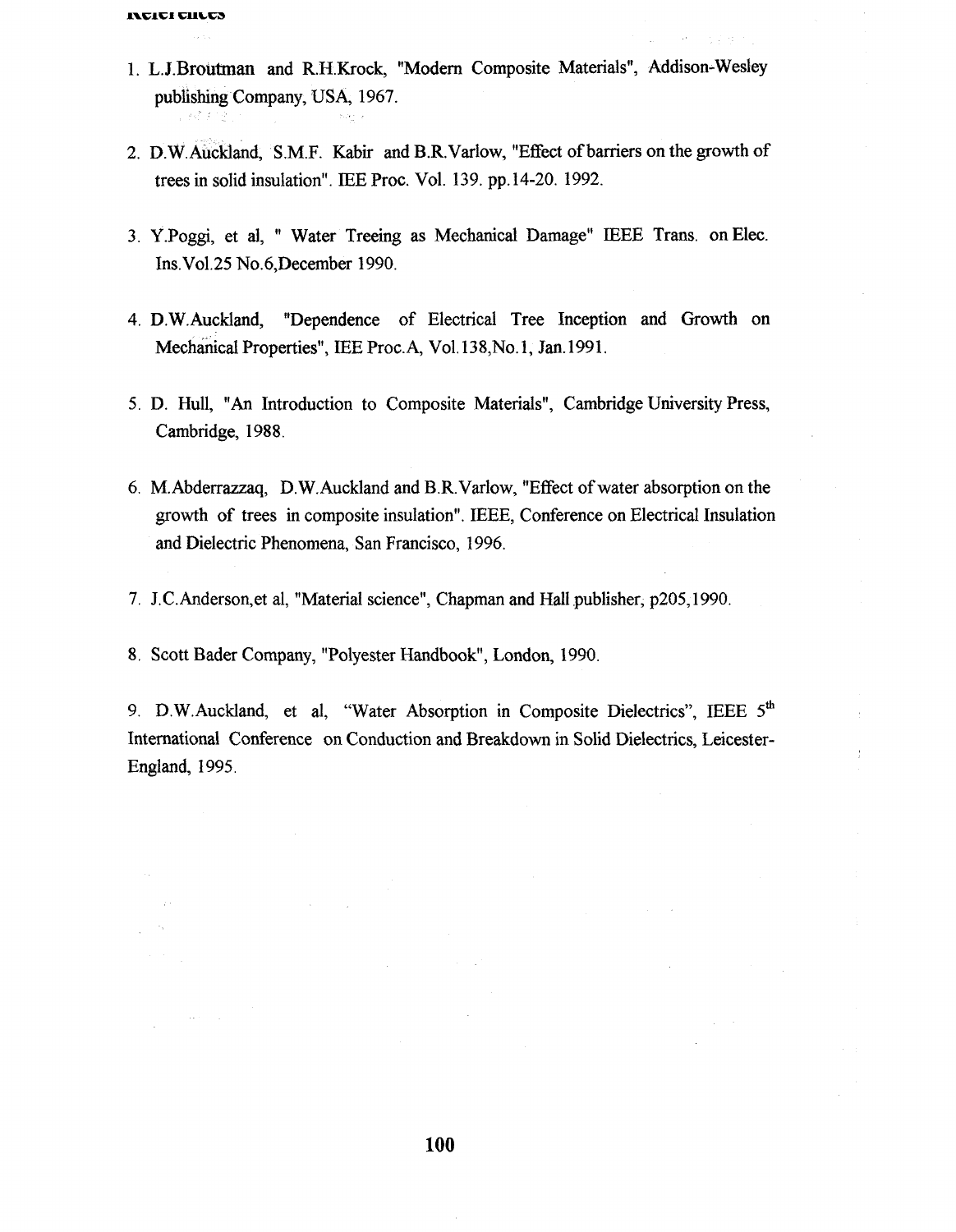$\Delta\omega$  and  $\Delta\omega$ 

- 1. L. **J.Broutman** and R.H.Krock, "Modern Composite Materials", Addison-Wesley publishing Company, USA, 1967.
- 2. D.W. Auckland, S.M.F. Kabir and B.R. Varlow, "Effect of barriers on the growth of trees in solid insulation". IEE Proc. Vol. 139. pp. 14-20. 1992.
- 3. Y.Poggi, et al, " Water Treeing as Mechanical Damage" IEEE Trans. on Elec. Ins.Vol.25 No.6,December 1990.
- 4. D.W.Auckland, "Dependence of Electrical Tree Inception and Growth on Mechanical Properties", IEE Proc.A, Vol. 138, No. 1, Jan. 1991.
- 5. D. Hull, **"An** Introduction to Composite Materials", Cambridge University Press, Cambridge, 1988.
- 6. M.Abderrazzaq, D.W.Auckland and B.R.Varlow, "Effect of water absorption on the growth of trees in composite insulation". JEEE, Conference on Electrical Insulation and Dielectric Phenomena, San Francisco, 1996.
- 7. J.C.Anderson, et al, "Material science", Chapman and Hall publisher, p205,1990.

8. Scott Bader Company, "Polyester Handbook", London, 1990.

9. D.W. Auckland, et al, "Water Absorption in Composite Dielectrics", IEEE  $5<sup>th</sup>$ International Conference on Conduction and Breakdown in Solid Dielectrics, Leicester-England, 1995.